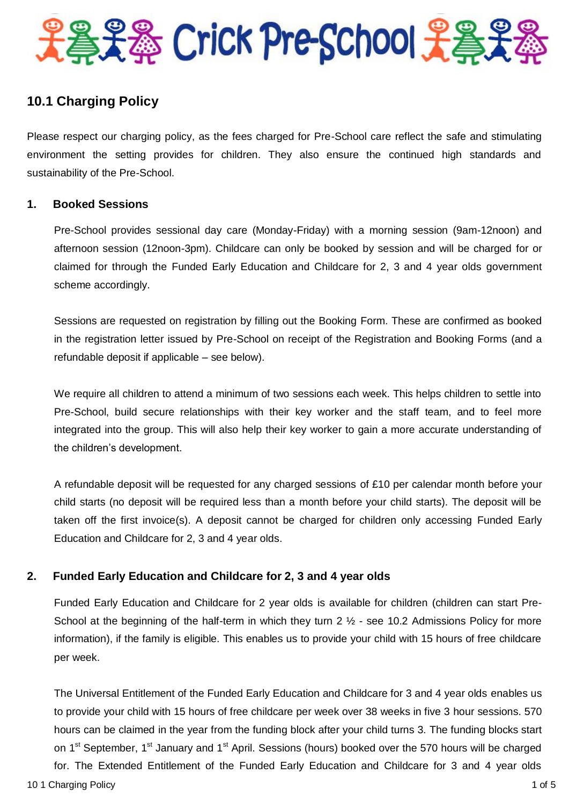

# **10.1 Charging Policy**

Please respect our charging policy, as the fees charged for Pre-School care reflect the safe and stimulating environment the setting provides for children. They also ensure the continued high standards and sustainability of the Pre-School.

## **1. Booked Sessions**

Pre-School provides sessional day care (Monday-Friday) with a morning session (9am-12noon) and afternoon session (12noon-3pm). Childcare can only be booked by session and will be charged for or claimed for through the Funded Early Education and Childcare for 2, 3 and 4 year olds government scheme accordingly.

Sessions are requested on registration by filling out the Booking Form. These are confirmed as booked in the registration letter issued by Pre-School on receipt of the Registration and Booking Forms (and a refundable deposit if applicable – see below).

We require all children to attend a minimum of two sessions each week. This helps children to settle into Pre-School, build secure relationships with their key worker and the staff team, and to feel more integrated into the group. This will also help their key worker to gain a more accurate understanding of the children's development.

A refundable deposit will be requested for any charged sessions of £10 per calendar month before your child starts (no deposit will be required less than a month before your child starts). The deposit will be taken off the first invoice(s). A deposit cannot be charged for children only accessing Funded Early Education and Childcare for 2, 3 and 4 year olds.

# **2. Funded Early Education and Childcare for 2, 3 and 4 year olds**

Funded Early Education and Childcare for 2 year olds is available for children (children can start Pre-School at the beginning of the half-term in which they turn 2  $\frac{1}{2}$  - see 10.2 Admissions Policy for more information), if the family is eligible. This enables us to provide your child with 15 hours of free childcare per week.

10 1 Charging Policy 1 of 5 The Universal Entitlement of the Funded Early Education and Childcare for 3 and 4 year olds enables us to provide your child with 15 hours of free childcare per week over 38 weeks in five 3 hour sessions. 570 hours can be claimed in the year from the funding block after your child turns 3. The funding blocks start on 1<sup>st</sup> September, 1<sup>st</sup> January and 1<sup>st</sup> April. Sessions (hours) booked over the 570 hours will be charged for. The Extended Entitlement of the Funded Early Education and Childcare for 3 and 4 year olds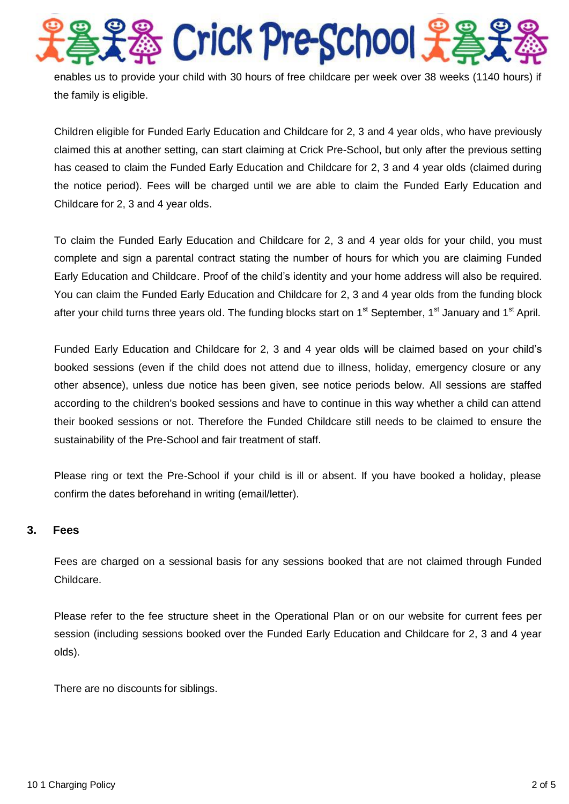5 Crick Pre-School 光 enables us to provide your child with 30 hours of free childcare per week over 38 weeks (1140 hours) if the family is eligible.

Children eligible for Funded Early Education and Childcare for 2, 3 and 4 year olds, who have previously claimed this at another setting, can start claiming at Crick Pre-School, but only after the previous setting has ceased to claim the Funded Early Education and Childcare for 2, 3 and 4 year olds (claimed during the notice period). Fees will be charged until we are able to claim the Funded Early Education and Childcare for 2, 3 and 4 year olds.

To claim the Funded Early Education and Childcare for 2, 3 and 4 year olds for your child, you must complete and sign a parental contract stating the number of hours for which you are claiming Funded Early Education and Childcare. Proof of the child's identity and your home address will also be required. You can claim the Funded Early Education and Childcare for 2, 3 and 4 year olds from the funding block after your child turns three years old. The funding blocks start on 1<sup>st</sup> September, 1<sup>st</sup> January and 1<sup>st</sup> April.

Funded Early Education and Childcare for 2, 3 and 4 year olds will be claimed based on your child's booked sessions (even if the child does not attend due to illness, holiday, emergency closure or any other absence), unless due notice has been given, see notice periods below. All sessions are staffed according to the children's booked sessions and have to continue in this way whether a child can attend their booked sessions or not. Therefore the Funded Childcare still needs to be claimed to ensure the sustainability of the Pre-School and fair treatment of staff.

Please ring or text the Pre-School if your child is ill or absent. If you have booked a holiday, please confirm the dates beforehand in writing (email/letter).

# **3. Fees**

Fees are charged on a sessional basis for any sessions booked that are not claimed through Funded Childcare.

Please refer to the fee structure sheet in the Operational Plan or on our website for current fees per session (including sessions booked over the Funded Early Education and Childcare for 2, 3 and 4 year olds).

There are no discounts for siblings.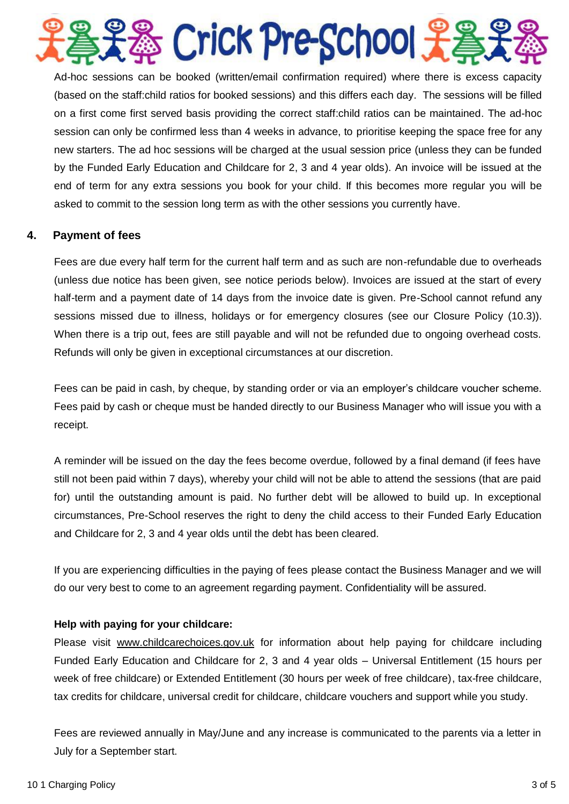

Ad-hoc sessions can be booked (written/email confirmation required) where there is excess capacity (based on the staff:child ratios for booked sessions) and this differs each day. The sessions will be filled on a first come first served basis providing the correct staff:child ratios can be maintained. The ad-hoc session can only be confirmed less than 4 weeks in advance, to prioritise keeping the space free for any new starters. The ad hoc sessions will be charged at the usual session price (unless they can be funded by the Funded Early Education and Childcare for 2, 3 and 4 year olds). An invoice will be issued at the end of term for any extra sessions you book for your child. If this becomes more regular you will be asked to commit to the session long term as with the other sessions you currently have.

# **4. Payment of fees**

Fees are due every half term for the current half term and as such are non-refundable due to overheads (unless due notice has been given, see notice periods below). Invoices are issued at the start of every half-term and a payment date of 14 days from the invoice date is given. Pre-School cannot refund any sessions missed due to illness, holidays or for emergency closures (see our Closure Policy (10.3)). When there is a trip out, fees are still payable and will not be refunded due to ongoing overhead costs. Refunds will only be given in exceptional circumstances at our discretion.

Fees can be paid in cash, by cheque, by standing order or via an employer's childcare voucher scheme. Fees paid by cash or cheque must be handed directly to our Business Manager who will issue you with a receipt.

A reminder will be issued on the day the fees become overdue, followed by a final demand (if fees have still not been paid within 7 days), whereby your child will not be able to attend the sessions (that are paid for) until the outstanding amount is paid. No further debt will be allowed to build up. In exceptional circumstances, Pre-School reserves the right to deny the child access to their Funded Early Education and Childcare for 2, 3 and 4 year olds until the debt has been cleared.

If you are experiencing difficulties in the paying of fees please contact the Business Manager and we will do our very best to come to an agreement regarding payment. Confidentiality will be assured.

# **Help with paying for your childcare:**

Please visit [www.childcarechoices.gov.uk](http://www.childcarechoices.gov.uk/) for information about help paying for childcare including Funded Early Education and Childcare for 2, 3 and 4 year olds – Universal Entitlement (15 hours per week of free childcare) or Extended Entitlement (30 hours per week of free childcare), tax-free childcare, tax credits for childcare, universal credit for childcare, childcare vouchers and support while you study.

Fees are reviewed annually in May/June and any increase is communicated to the parents via a letter in July for a September start.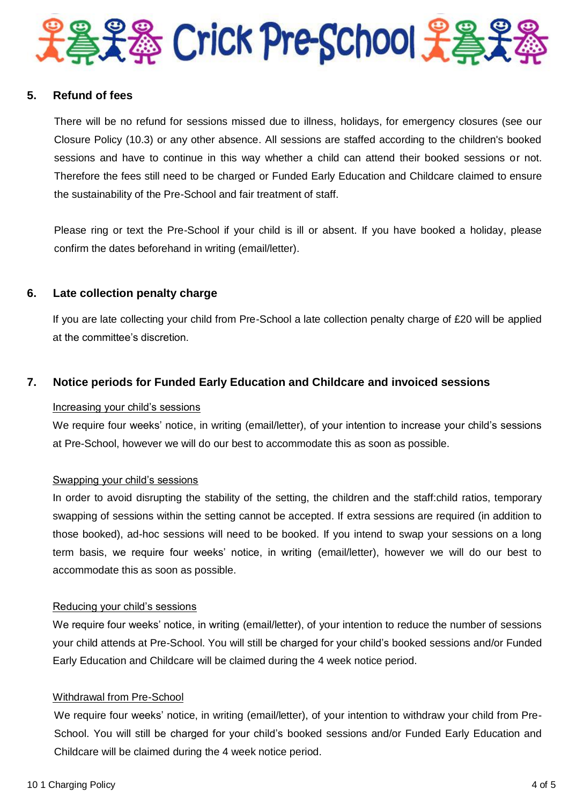

# **5. Refund of fees**

There will be no refund for sessions missed due to illness, holidays, for emergency closures (see our Closure Policy (10.3) or any other absence. All sessions are staffed according to the children's booked sessions and have to continue in this way whether a child can attend their booked sessions or not. Therefore the fees still need to be charged or Funded Early Education and Childcare claimed to ensure the sustainability of the Pre-School and fair treatment of staff.

Please ring or text the Pre-School if your child is ill or absent. If you have booked a holiday, please confirm the dates beforehand in writing (email/letter).

## **6. Late collection penalty charge**

If you are late collecting your child from Pre-School a late collection penalty charge of £20 will be applied at the committee's discretion.

# **7. Notice periods for Funded Early Education and Childcare and invoiced sessions**

### Increasing your child's sessions

We require four weeks' notice, in writing (email/letter), of your intention to increase your child's sessions at Pre-School, however we will do our best to accommodate this as soon as possible.

### Swapping your child's sessions

In order to avoid disrupting the stability of the setting, the children and the staff:child ratios, temporary swapping of sessions within the setting cannot be accepted. If extra sessions are required (in addition to those booked), ad-hoc sessions will need to be booked. If you intend to swap your sessions on a long term basis, we require four weeks' notice, in writing (email/letter), however we will do our best to accommodate this as soon as possible.

### Reducing your child's sessions

We require four weeks' notice, in writing (email/letter), of your intention to reduce the number of sessions your child attends at Pre-School. You will still be charged for your child's booked sessions and/or Funded Early Education and Childcare will be claimed during the 4 week notice period.

## Withdrawal from Pre-School

We require four weeks' notice, in writing (email/letter), of your intention to withdraw your child from Pre-School. You will still be charged for your child's booked sessions and/or Funded Early Education and Childcare will be claimed during the 4 week notice period.